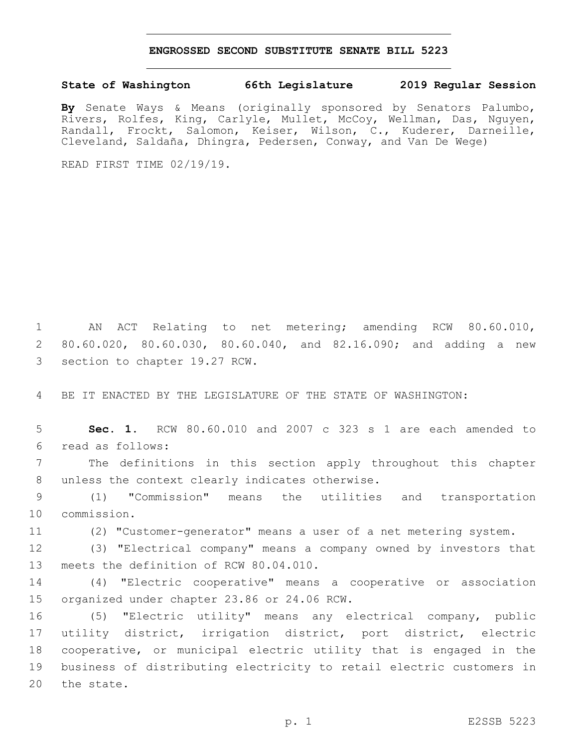## **ENGROSSED SECOND SUBSTITUTE SENATE BILL 5223**

## **State of Washington 66th Legislature 2019 Regular Session**

**By** Senate Ways & Means (originally sponsored by Senators Palumbo, Rivers, Rolfes, King, Carlyle, Mullet, McCoy, Wellman, Das, Nguyen, Randall, Frockt, Salomon, Keiser, Wilson, C., Kuderer, Darneille, Cleveland, Saldaña, Dhingra, Pedersen, Conway, and Van De Wege)

READ FIRST TIME 02/19/19.

1 AN ACT Relating to net metering; amending RCW 80.60.010, 2 80.60.020, 80.60.030, 80.60.040, and 82.16.090; and adding a new 3 section to chapter 19.27 RCW.

4 BE IT ENACTED BY THE LEGISLATURE OF THE STATE OF WASHINGTON:

5 **Sec. 1.** RCW 80.60.010 and 2007 c 323 s 1 are each amended to read as follows:6

7 The definitions in this section apply throughout this chapter 8 unless the context clearly indicates otherwise.

9 (1) "Commission" means the utilities and transportation 10 commission.

11 (2) "Customer-generator" means a user of a net metering system.

12 (3) "Electrical company" means a company owned by investors that 13 meets the definition of RCW 80.04.010.

14 (4) "Electric cooperative" means a cooperative or association 15 organized under chapter 23.86 or 24.06 RCW.

 (5) "Electric utility" means any electrical company, public utility district, irrigation district, port district, electric cooperative, or municipal electric utility that is engaged in the business of distributing electricity to retail electric customers in 20 the state.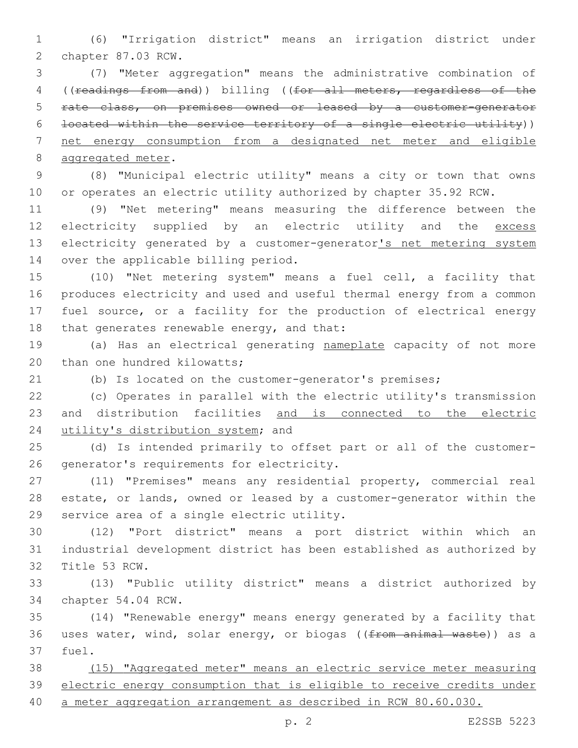(6) "Irrigation district" means an irrigation district under 2 chapter 87.03 RCW.

 (7) "Meter aggregation" means the administrative combination of ((readings from and)) billing ((for all meters, regardless of the rate class, on premises owned or leased by a customer-generator located within the service territory of a single electric utility)) net energy consumption from a designated net meter and eligible 8 aggregated meter.

 (8) "Municipal electric utility" means a city or town that owns or operates an electric utility authorized by chapter 35.92 RCW.

 (9) "Net metering" means measuring the difference between the 12 electricity supplied by an electric utility and the excess 13 electricity generated by a customer-generator's net metering system 14 over the applicable billing period.

 (10) "Net metering system" means a fuel cell, a facility that produces electricity and used and useful thermal energy from a common fuel source, or a facility for the production of electrical energy 18 that generates renewable energy, and that:

 (a) Has an electrical generating nameplate capacity of not more 20 than one hundred kilowatts;

(b) Is located on the customer-generator's premises;

 (c) Operates in parallel with the electric utility's transmission and distribution facilities and is connected to the electric 24 utility's distribution system; and

 (d) Is intended primarily to offset part or all of the customer-26 generator's requirements for electricity.

 (11) "Premises" means any residential property, commercial real estate, or lands, owned or leased by a customer-generator within the 29 service area of a single electric utility.

 (12) "Port district" means a port district within which an industrial development district has been established as authorized by 32 Title 53 RCW.

 (13) "Public utility district" means a district authorized by 34 chapter 54.04 RCW.

 (14) "Renewable energy" means energy generated by a facility that 36 uses water, wind, solar energy, or biogas ((from animal waste)) as a 37 fuel.

 (15) "Aggregated meter" means an electric service meter measuring electric energy consumption that is eligible to receive credits under a meter aggregation arrangement as described in RCW 80.60.030.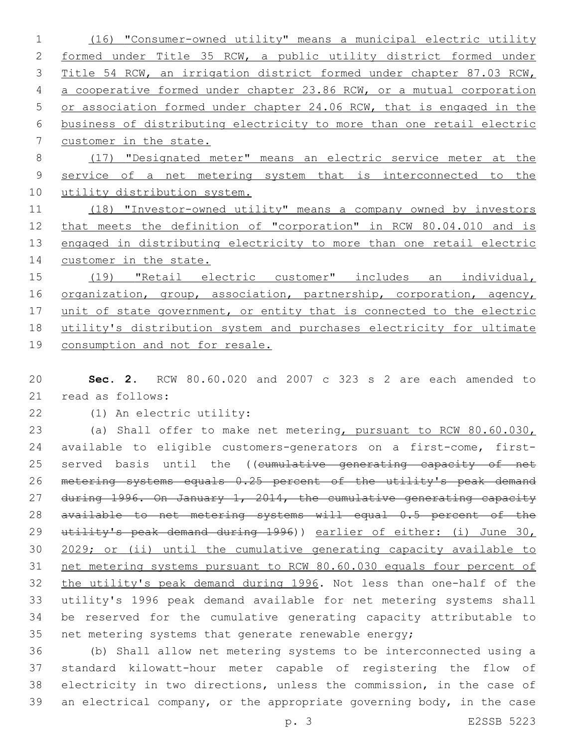(16) "Consumer-owned utility" means a municipal electric utility formed under Title 35 RCW, a public utility district formed under Title 54 RCW, an irrigation district formed under chapter 87.03 RCW, a cooperative formed under chapter 23.86 RCW, or a mutual corporation or association formed under chapter 24.06 RCW, that is engaged in the business of distributing electricity to more than one retail electric customer in the state. (17) "Designated meter" means an electric service meter at the service of a net metering system that is interconnected to the 10 utility distribution system.

 (18) "Investor-owned utility" means a company owned by investors that meets the definition of "corporation" in RCW 80.04.010 and is 13 engaged in distributing electricity to more than one retail electric 14 customer in the state.

 (19) "Retail electric customer" includes an individual, 16 organization, group, association, partnership, corporation, agency, 17 unit of state government, or entity that is connected to the electric utility's distribution system and purchases electricity for ultimate consumption and not for resale.

 **Sec. 2.** RCW 80.60.020 and 2007 c 323 s 2 are each amended to 21 read as follows:

(1) An electric utility:22

 (a) Shall offer to make net metering, pursuant to RCW 80.60.030, available to eligible customers-generators on a first-come, first-25 served basis until the ((cumulative generating capacity of net metering systems equals 0.25 percent of the utility's peak demand 27 during 1996. On January 1, 2014, the cumulative generating capacity available to net metering systems will equal 0.5 percent of the utility's peak demand during 1996)) earlier of either: (i) June 30, 2029; or (ii) until the cumulative generating capacity available to net metering systems pursuant to RCW 80.60.030 equals four percent of the utility's peak demand during 1996. Not less than one-half of the utility's 1996 peak demand available for net metering systems shall be reserved for the cumulative generating capacity attributable to net metering systems that generate renewable energy;

 (b) Shall allow net metering systems to be interconnected using a standard kilowatt-hour meter capable of registering the flow of electricity in two directions, unless the commission, in the case of an electrical company, or the appropriate governing body, in the case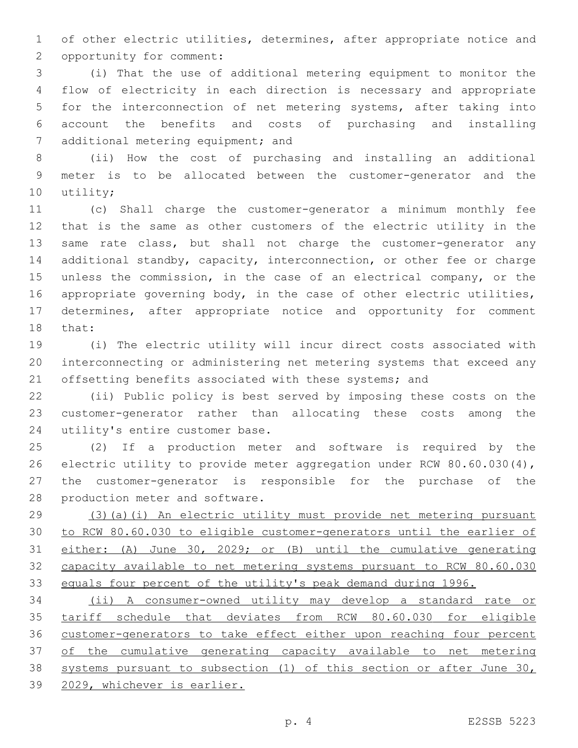of other electric utilities, determines, after appropriate notice and 2 opportunity for comment:

 (i) That the use of additional metering equipment to monitor the flow of electricity in each direction is necessary and appropriate for the interconnection of net metering systems, after taking into account the benefits and costs of purchasing and installing 7 additional metering equipment; and

 (ii) How the cost of purchasing and installing an additional meter is to be allocated between the customer-generator and the 10 utility;

 (c) Shall charge the customer-generator a minimum monthly fee that is the same as other customers of the electric utility in the 13 same rate class, but shall not charge the customer-generator any additional standby, capacity, interconnection, or other fee or charge unless the commission, in the case of an electrical company, or the appropriate governing body, in the case of other electric utilities, determines, after appropriate notice and opportunity for comment 18 that:

 (i) The electric utility will incur direct costs associated with interconnecting or administering net metering systems that exceed any 21 offsetting benefits associated with these systems; and

 (ii) Public policy is best served by imposing these costs on the customer-generator rather than allocating these costs among the 24 utility's entire customer base.

 (2) If a production meter and software is required by the electric utility to provide meter aggregation under RCW 80.60.030(4), the customer-generator is responsible for the purchase of the 28 production meter and software.

 (3)(a)(i) An electric utility must provide net metering pursuant to RCW 80.60.030 to eligible customer-generators until the earlier of either: (A) June 30, 2029; or (B) until the cumulative generating capacity available to net metering systems pursuant to RCW 80.60.030 33 equals four percent of the utility's peak demand during 1996.

 (ii) A consumer-owned utility may develop a standard rate or tariff schedule that deviates from RCW 80.60.030 for eligible customer-generators to take effect either upon reaching four percent of the cumulative generating capacity available to net metering systems pursuant to subsection (1) of this section or after June 30, 2029, whichever is earlier.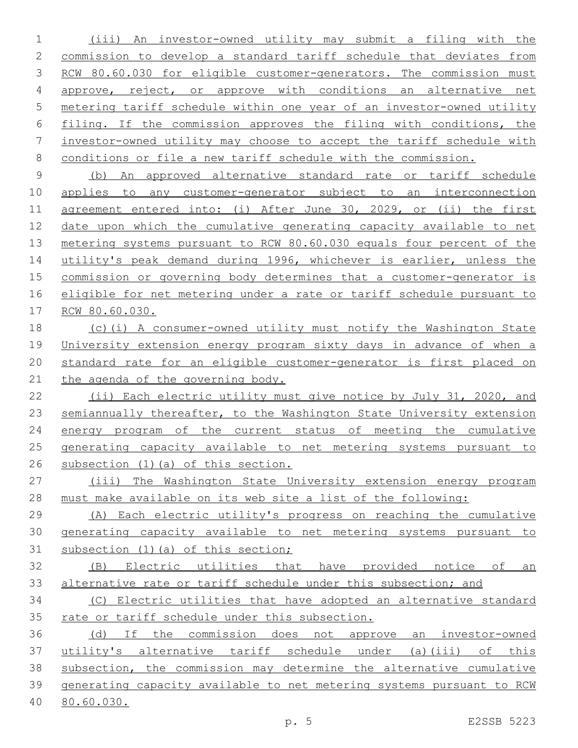(iii) An investor-owned utility may submit a filing with the commission to develop a standard tariff schedule that deviates from 3 RCW 80.60.030 for eligible customer-generators. The commission must approve, reject, or approve with conditions an alternative net metering tariff schedule within one year of an investor-owned utility filing. If the commission approves the filing with conditions, the investor-owned utility may choose to accept the tariff schedule with conditions or file a new tariff schedule with the commission.

 (b) An approved alternative standard rate or tariff schedule applies to any customer-generator subject to an interconnection agreement entered into: (i) After June 30, 2029, or (ii) the first date upon which the cumulative generating capacity available to net metering systems pursuant to RCW 80.60.030 equals four percent of the utility's peak demand during 1996, whichever is earlier, unless the commission or governing body determines that a customer-generator is eligible for net metering under a rate or tariff schedule pursuant to RCW 80.60.030.

 (c)(i) A consumer-owned utility must notify the Washington State University extension energy program sixty days in advance of when a standard rate for an eligible customer-generator is first placed on the agenda of the governing body.

 (ii) Each electric utility must give notice by July 31, 2020, and 23 semiannually thereafter, to the Washington State University extension energy program of the current status of meeting the cumulative generating capacity available to net metering systems pursuant to subsection (1)(a) of this section.

 (iii) The Washington State University extension energy program must make available on its web site a list of the following:

 (A) Each electric utility's progress on reaching the cumulative generating capacity available to net metering systems pursuant to subsection (1)(a) of this section;

 (B) Electric utilities that have provided notice of an alternative rate or tariff schedule under this subsection; and

 (C) Electric utilities that have adopted an alternative standard 35 rate or tariff schedule under this subsection.

 (d) If the commission does not approve an investor-owned utility's alternative tariff schedule under (a)(iii) of this subsection, the commission may determine the alternative cumulative generating capacity available to net metering systems pursuant to RCW 80.60.030.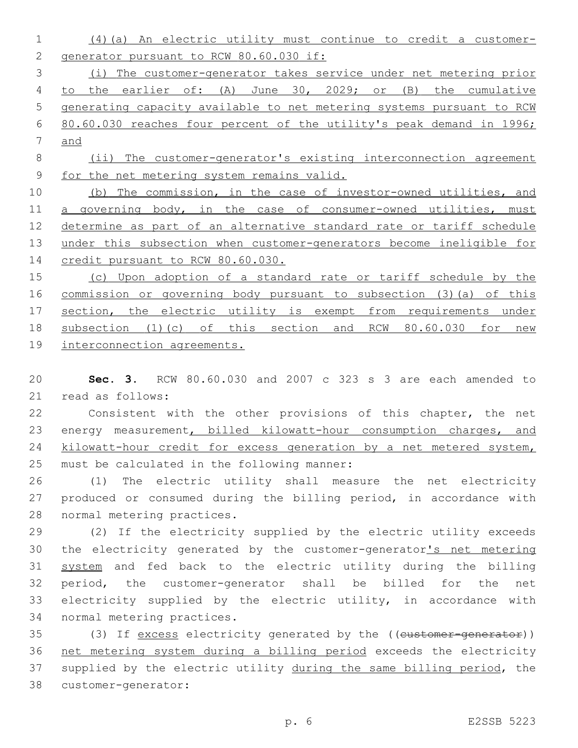(4)(a) An electric utility must continue to credit a customer-2 generator pursuant to RCW 80.60.030 if: (i) The customer-generator takes service under net metering prior to the earlier of: (A) June 30, 2029; or (B) the cumulative generating capacity available to net metering systems pursuant to RCW 80.60.030 reaches four percent of the utility's peak demand in 1996; and (ii) The customer-generator's existing interconnection agreement for the net metering system remains valid.

 (b) The commission, in the case of investor-owned utilities, and 11 a governing body, in the case of consumer-owned utilities, must determine as part of an alternative standard rate or tariff schedule under this subsection when customer-generators become ineligible for 14 credit pursuant to RCW 80.60.030.

 (c) Upon adoption of a standard rate or tariff schedule by the commission or governing body pursuant to subsection (3)(a) of this section, the electric utility is exempt from requirements under subsection (1)(c) of this section and RCW 80.60.030 for new

interconnection agreements.

 **Sec. 3.** RCW 80.60.030 and 2007 c 323 s 3 are each amended to 21 read as follows:

 Consistent with the other provisions of this chapter, the net energy measurement, billed kilowatt-hour consumption charges, and 24 kilowatt-hour credit for excess generation by a net metered system, 25 must be calculated in the following manner:

 (1) The electric utility shall measure the net electricity produced or consumed during the billing period, in accordance with 28 normal metering practices.

 (2) If the electricity supplied by the electric utility exceeds the electricity generated by the customer-generator's net metering system and fed back to the electric utility during the billing period, the customer-generator shall be billed for the net electricity supplied by the electric utility, in accordance with 34 normal metering practices.

35 (3) If excess electricity generated by the ((customer-generator)) net metering system during a billing period exceeds the electricity 37 supplied by the electric utility during the same billing period, the 38 customer-generator: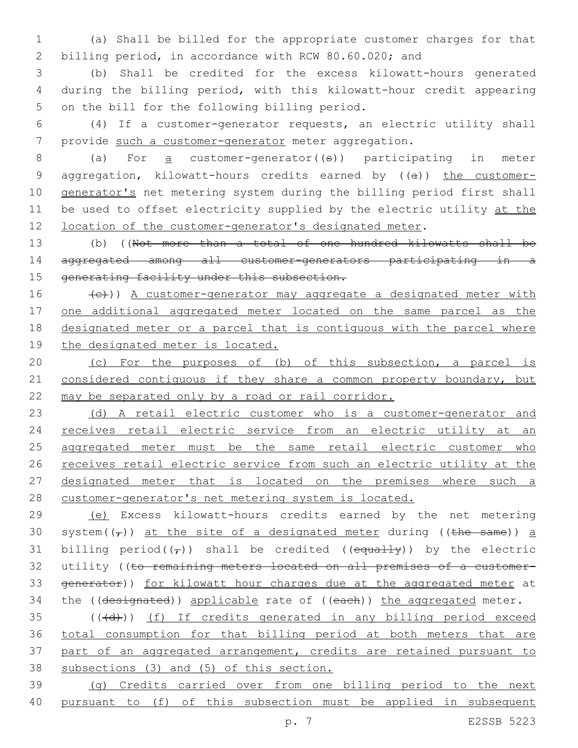1 (a) Shall be billed for the appropriate customer charges for that 2 billing period, in accordance with RCW 80.60.020; and

3 (b) Shall be credited for the excess kilowatt-hours generated 4 during the billing period, with this kilowatt-hour credit appearing 5 on the bill for the following billing period.

6 (4) If a customer-generator requests, an electric utility shall 7 provide such a customer-generator meter aggregation.

8 (a) For <u>a</u> customer-generator((s)) participating in meter 9 aggregation, kilowatt-hours credits earned by ((a)) the customer-10 generator's net metering system during the billing period first shall 11 be used to offset electricity supplied by the electric utility at the 12 location of the customer-generator's designated meter.

13 (b) ((Not more than a total of one hundred kilowatts shall be 14 aggregated among all customer-generators participating in a 15 generating facility under this subsection.

16 (e))) A customer-generator may aggregate a designated meter with 17 one additional aggregated meter located on the same parcel as the 18 designated meter or a parcel that is contiguous with the parcel where 19 the designated meter is located.

20 (c) For the purposes of (b) of this subsection, a parcel is 21 considered contiguous if they share a common property boundary, but 22 may be separated only by a road or rail corridor.

23 (d) A retail electric customer who is a customer-generator and 24 receives retail electric service from an electric utility at an 25 aggregated meter must be the same retail electric customer who 26 receives retail electric service from such an electric utility at the 27 designated meter that is located on the premises where such a 28 customer-generator's net metering system is located.

29 (e) Excess kilowatt-hours credits earned by the net metering 30 system( $(\tau)$ ) at the site of a designated meter during ((the same)) a 31 billing period( $(\tau)$ ) shall be credited ((equally)) by the electric 32 utility ((to remaining meters located on all premises of a customer-33 generator)) for kilowatt hour charges due at the aggregated meter at 34 the ((designated)) applicable rate of ((each)) the aggregated meter.

35 (((+d))) (f) If credits generated in any billing period exceed total consumption for that billing period at both meters that are part of an aggregated arrangement, credits are retained pursuant to subsections (3) and (5) of this section.

39 (g) Credits carried over from one billing period to the next 40 pursuant to (f) of this subsection must be applied in subsequent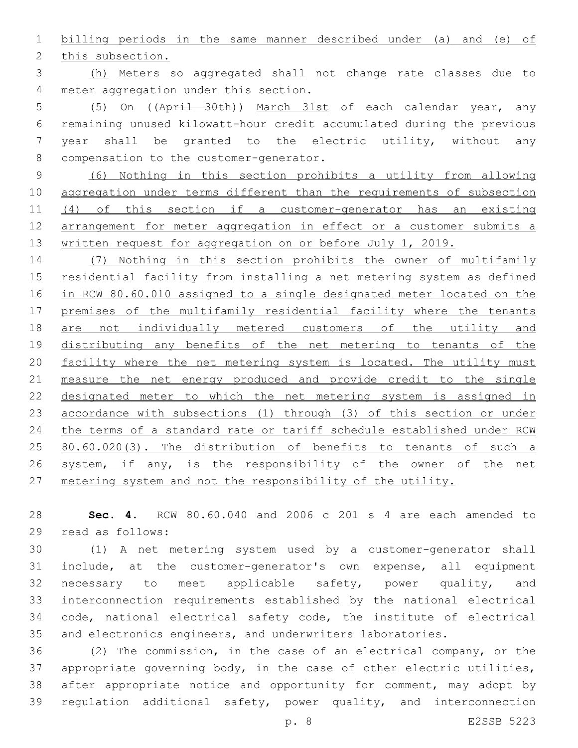billing periods in the same manner described under (a) and (e) of

2 this subsection.

 (h) Meters so aggregated shall not change rate classes due to 4 meter aggregation under this section.

 (5) On ((April 30th)) March 31st of each calendar year, any remaining unused kilowatt-hour credit accumulated during the previous year shall be granted to the electric utility, without any 8 compensation to the customer-generator.

 (6) Nothing in this section prohibits a utility from allowing aggregation under terms different than the requirements of subsection (4) of this section if a customer-generator has an existing arrangement for meter aggregation in effect or a customer submits a 13 written request for aggregation on or before July 1, 2019.

 (7) Nothing in this section prohibits the owner of multifamily residential facility from installing a net metering system as defined in RCW 80.60.010 assigned to a single designated meter located on the premises of the multifamily residential facility where the tenants are not individually metered customers of the utility and distributing any benefits of the net metering to tenants of the 20 facility where the net metering system is located. The utility must measure the net energy produced and provide credit to the single designated meter to which the net metering system is assigned in accordance with subsections (1) through (3) of this section or under the terms of a standard rate or tariff schedule established under RCW 25 80.60.020(3). The distribution of benefits to tenants of such a 26 system, if any, is the responsibility of the owner of the net 27 metering system and not the responsibility of the utility.

 **Sec. 4.** RCW 80.60.040 and 2006 c 201 s 4 are each amended to read as follows:29

 (1) A net metering system used by a customer-generator shall include, at the customer-generator's own expense, all equipment necessary to meet applicable safety, power quality, and interconnection requirements established by the national electrical code, national electrical safety code, the institute of electrical and electronics engineers, and underwriters laboratories.

 (2) The commission, in the case of an electrical company, or the appropriate governing body, in the case of other electric utilities, after appropriate notice and opportunity for comment, may adopt by regulation additional safety, power quality, and interconnection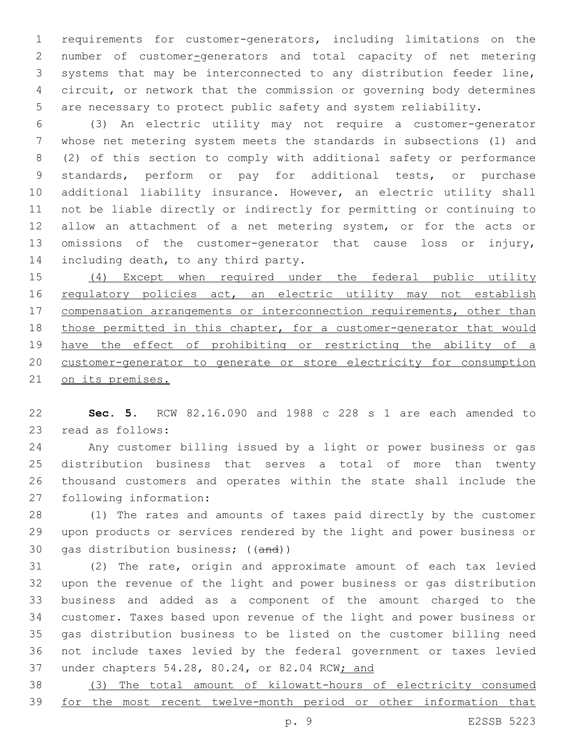requirements for customer-generators, including limitations on the number of customer-generators and total capacity of net metering systems that may be interconnected to any distribution feeder line, circuit, or network that the commission or governing body determines are necessary to protect public safety and system reliability.

 (3) An electric utility may not require a customer-generator whose net metering system meets the standards in subsections (1) and (2) of this section to comply with additional safety or performance standards, perform or pay for additional tests, or purchase additional liability insurance. However, an electric utility shall not be liable directly or indirectly for permitting or continuing to allow an attachment of a net metering system, or for the acts or omissions of the customer-generator that cause loss or injury, 14 including death, to any third party.

 (4) Except when required under the federal public utility 16 regulatory policies act, an electric utility may not establish 17 compensation arrangements or interconnection requirements, other than those permitted in this chapter, for a customer-generator that would have the effect of prohibiting or restricting the ability of a customer-generator to generate or store electricity for consumption on its premises.

 **Sec. 5.** RCW 82.16.090 and 1988 c 228 s 1 are each amended to 23 read as follows:

 Any customer billing issued by a light or power business or gas distribution business that serves a total of more than twenty thousand customers and operates within the state shall include the 27 following information:

 (1) The rates and amounts of taxes paid directly by the customer upon products or services rendered by the light and power business or 30 gas distribution business; ((and))

 (2) The rate, origin and approximate amount of each tax levied upon the revenue of the light and power business or gas distribution business and added as a component of the amount charged to the customer. Taxes based upon revenue of the light and power business or gas distribution business to be listed on the customer billing need not include taxes levied by the federal government or taxes levied under chapters 54.28, 80.24, or 82.04 RCW; and

 (3) The total amount of kilowatt-hours of electricity consumed for the most recent twelve-month period or other information that